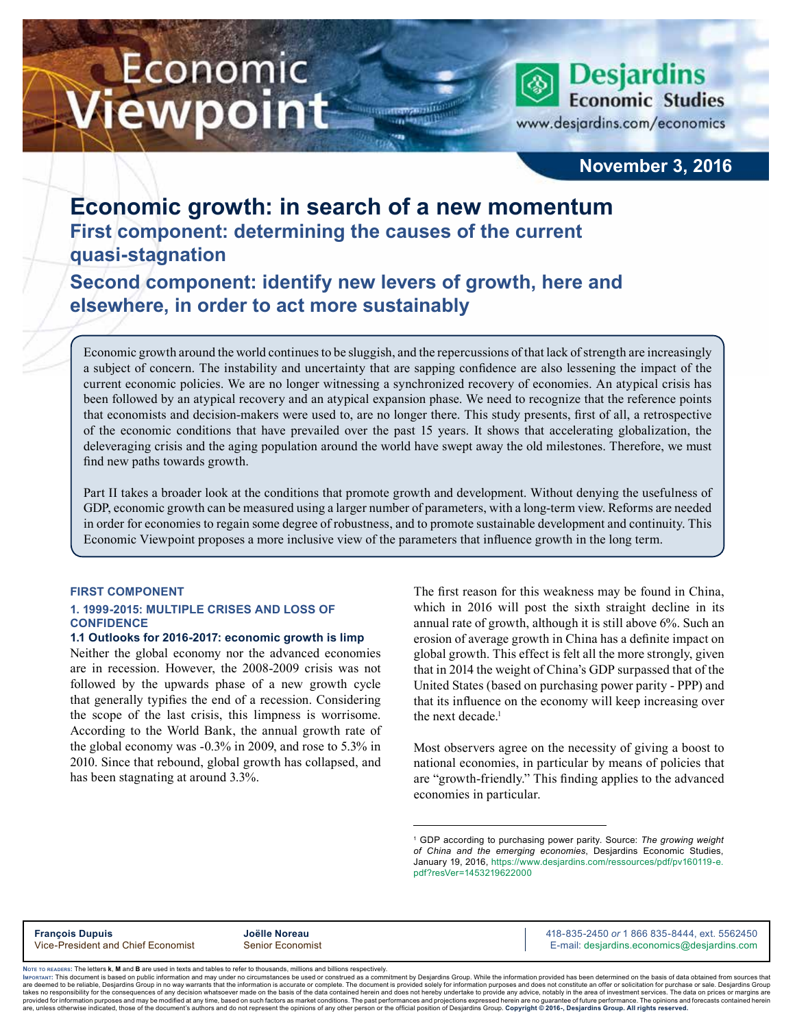# Economic iewpoint

**Desjardins Economic Studies** www.desjardins.com/economics

## **November 3, 2016**

## **Economic growth: in search of a new momentum First component: determining the causes of the current quasi-stagnation**

**Second component: identify new levers of growth, here and elsewhere, in order to act more sustainably**

Economic growth around the world continues to be sluggish, and the repercussions of that lack of strength are increasingly a subject of concern. The instability and uncertainty that are sapping confidence are also lessening the impact of the current economic policies. We are no longer witnessing a synchronized recovery of economies. An atypical crisis has been followed by an atypical recovery and an atypical expansion phase. We need to recognize that the reference points that economists and decision-makers were used to, are no longer there. This study presents, first of all, a retrospective of the economic conditions that have prevailed over the past 15 years. It shows that accelerating globalization, the deleveraging crisis and the aging population around the world have swept away the old milestones. Therefore, we must find new paths towards growth.

m

Part II takes a broader look at the conditions that promote growth and development. Without denying the usefulness of GDP, economic growth can be measured using a larger number of parameters, with a long-term view. Reforms are needed in order for economies to regain some degree of robustness, and to promote sustainable development and continuity. This Economic Viewpoint proposes a more inclusive view of the parameters that influence growth in the long term.

#### **FIRST COMPONENT**

#### **1. 1999-2015: MULTIPLE CRISES AND LOSS OF CONFIDENCE**

#### **1.1 Outlooks for 2016-2017: economic growth is limp**

Neither the global economy nor the advanced economies are in recession. However, the 2008-2009 crisis was not followed by the upwards phase of a new growth cycle that generally typifies the end of a recession. Considering the scope of the last crisis, this limpness is worrisome. According to the World Bank, the annual growth rate of the global economy was -0.3% in 2009, and rose to 5.3% in 2010. Since that rebound, global growth has collapsed, and has been stagnating at around 3.3%.

The first reason for this weakness may be found in China, which in 2016 will post the sixth straight decline in its annual rate of growth, although it is still above 6%. Such an erosion of average growth in China has a definite impact on global growth. This effect is felt all the more strongly, given that in 2014 the weight of China's GDP surpassed that of the United States (based on purchasing power parity - PPP) and that its influence on the economy will keep increasing over the next decade.<sup>1</sup>

Most observers agree on the necessity of giving a boost to national economies, in particular by means of policies that are "growth-friendly." This finding applies to the advanced economies in particular.



Noте то келоекs: The letters **k, M** and **B** are used in texts and tables to refer to thousands, millions and billions respectively.<br>Імроктлит: This document is based on public information and may under no circumstances be are deemed to be reliable. Desiardins Group in no way warrants that the information is accurate or complete. The document is provided solely for information purposes and does not constitute an offer or solicitation for pur takes no responsibility for the consequences of any decision whatsoever made on the basis of the data contained herein and does not hereby undertake to provide any advice, notably in the area of investment services. The da .<br>are, unless otherwise indicated, those of the document's authors and do not represent the opinions of any other person or the official position of Desjardins Group. Copyright @ 2016-, Desjardins Group. All rights reserve

<sup>1</sup> GDP according to purchasing power parity. Source: *The growing weight of China and the emerging economies*, Desjardins Economic Studies, January 19, 2016, [https://www.desjardins.com/ressources/pdf/pv160119-e.](https://www.desjardins.com/ressources/pdf/pv160119-e.pdf?resVer=1453219622000) [pdf?resVer=1453219622000](https://www.desjardins.com/ressources/pdf/pv160119-e.pdf?resVer=1453219622000)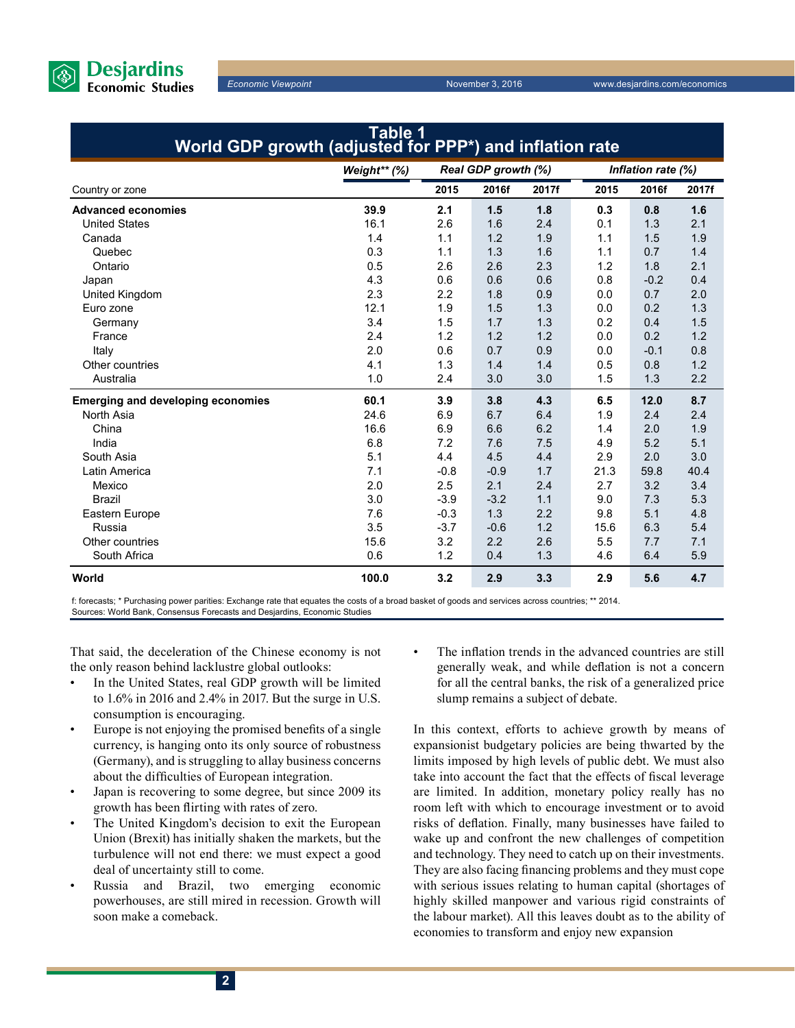

| World GDP growth (adjusted for PPP*) and inflation rate |              |                     |        |       |                    |        |       |  |
|---------------------------------------------------------|--------------|---------------------|--------|-------|--------------------|--------|-------|--|
|                                                         | Weight** (%) | Real GDP growth (%) |        |       | Inflation rate (%) |        |       |  |
| Country or zone                                         |              | 2015                | 2016f  | 2017f | 2015               | 2016f  | 2017f |  |
| <b>Advanced economies</b>                               | 39.9         | 2.1                 | 1.5    | 1.8   | 0.3                | 0.8    | 1.6   |  |
| <b>United States</b>                                    | 16.1         | 2.6                 | 1.6    | 2.4   | 0.1                | 1.3    | 2.1   |  |
| Canada                                                  | 1.4          | 1.1                 | 1.2    | 1.9   | 1.1                | 1.5    | 1.9   |  |
| Quebec                                                  | 0.3          | 1.1                 | 1.3    | 1.6   | 1.1                | 0.7    | 1.4   |  |
| Ontario                                                 | 0.5          | 2.6                 | 2.6    | 2.3   | 1.2                | 1.8    | 2.1   |  |
| Japan                                                   | 4.3          | 0.6                 | 0.6    | 0.6   | 0.8                | $-0.2$ | 0.4   |  |
| United Kingdom                                          | 2.3          | 2.2                 | 1.8    | 0.9   | 0.0                | 0.7    | 2.0   |  |
| Euro zone                                               | 12.1         | 1.9                 | 1.5    | 1.3   | 0.0                | 0.2    | 1.3   |  |
| Germany                                                 | 3.4          | 1.5                 | 1.7    | 1.3   | 0.2                | 0.4    | 1.5   |  |
| France                                                  | 2.4          | 1.2                 | 1.2    | 1.2   | 0.0                | 0.2    | 1.2   |  |
| Italy                                                   | 2.0          | 0.6                 | 0.7    | 0.9   | 0.0                | $-0.1$ | 0.8   |  |
| Other countries                                         | 4.1          | 1.3                 | 1.4    | 1.4   | 0.5                | 0.8    | 1.2   |  |
| Australia                                               | 1.0          | 2.4                 | 3.0    | 3.0   | 1.5                | 1.3    | 2.2   |  |
| <b>Emerging and developing economies</b>                | 60.1         | 3.9                 | 3.8    | 4.3   | 6.5                | 12.0   | 8.7   |  |
| North Asia                                              | 24.6         | 6.9                 | 6.7    | 6.4   | 1.9                | 2.4    | 2.4   |  |
| China                                                   | 16.6         | 6.9                 | 6.6    | 6.2   | 1.4                | 2.0    | 1.9   |  |
| India                                                   | 6.8          | 7.2                 | 7.6    | 7.5   | 4.9                | 5.2    | 5.1   |  |
| South Asia                                              | 5.1          | 4.4                 | 4.5    | 4.4   | 2.9                | 2.0    | 3.0   |  |
| Latin America                                           | 7.1          | $-0.8$              | $-0.9$ | 1.7   | 21.3               | 59.8   | 40.4  |  |
| Mexico                                                  | 2.0          | 2.5                 | 2.1    | 2.4   | 2.7                | 3.2    | 3.4   |  |
| <b>Brazil</b>                                           | 3.0          | $-3.9$              | $-3.2$ | 1.1   | 9.0                | 7.3    | 5.3   |  |
| Eastern Europe                                          | 7.6          | $-0.3$              | 1.3    | 2.2   | 9.8                | 5.1    | 4.8   |  |
| Russia                                                  | 3.5          | $-3.7$              | $-0.6$ | 1.2   | 15.6               | 6.3    | 5.4   |  |
| Other countries                                         | 15.6         | 3.2                 | 2.2    | 2.6   | 5.5                | 7.7    | 7.1   |  |
| South Africa                                            | 0.6          | 1.2                 | 0.4    | 1.3   | 4.6                | 6.4    | 5.9   |  |
| World                                                   | 100.0        | 3.2                 | 2.9    | 3.3   | 2.9                | 5.6    | 4.7   |  |

**Table 1**

f: forecasts; \* Purchasing power parities: Exchange rate that equates the costs of a broad basket of goods and services across countries; \*\* 2014. Sources: World Bank, Consensus Forecasts and Desjardins, Economic Studies

That said, the deceleration of the Chinese economy is not the only reason behind lacklustre global outlooks:

- In the United States, real GDP growth will be limited to 1.6% in 2016 and 2.4% in 2017. But the surge in U.S. consumption is encouraging.
- Europe is not enjoying the promised benefits of a single currency, is hanging onto its only source of robustness (Germany), and is struggling to allay business concerns about the difficulties of European integration.
- Japan is recovering to some degree, but since 2009 its growth has been flirting with rates of zero.
- The United Kingdom's decision to exit the European Union (Brexit) has initially shaken the markets, but the turbulence will not end there: we must expect a good deal of uncertainty still to come.
- Russia and Brazil, two emerging economic powerhouses, are still mired in recession. Growth will soon make a comeback.

The inflation trends in the advanced countries are still generally weak, and while deflation is not a concern for all the central banks, the risk of a generalized price slump remains a subject of debate.

In this context, efforts to achieve growth by means of expansionist budgetary policies are being thwarted by the limits imposed by high levels of public debt. We must also take into account the fact that the effects of fiscal leverage are limited. In addition, monetary policy really has no room left with which to encourage investment or to avoid risks of deflation. Finally, many businesses have failed to wake up and confront the new challenges of competition and technology. They need to catch up on their investments. They are also facing financing problems and they must cope with serious issues relating to human capital (shortages of highly skilled manpower and various rigid constraints of the labour market). All this leaves doubt as to the ability of economies to transform and enjoy new expansion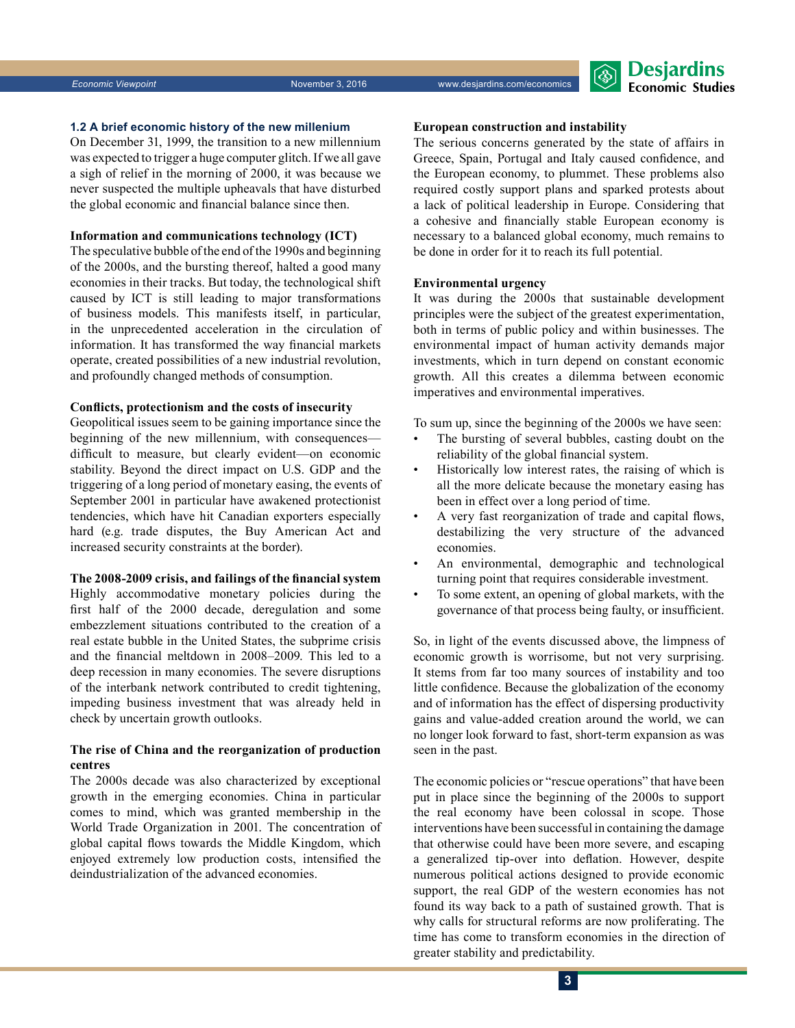**1.2 A brief economic history of the new millenium** 

On December 31, 1999, the transition to a new millennium was expected to trigger a huge computer glitch. If we all gave a sigh of relief in the morning of 2000, it was because we never suspected the multiple upheavals that have disturbed the global economic and financial balance since then.

#### **Information and communications technology (ICT)**

The speculative bubble of the end of the 1990s and beginning of the 2000s, and the bursting thereof, halted a good many economies in their tracks. But today, the technological shift caused by ICT is still leading to major transformations of business models. This manifests itself, in particular, in the unprecedented acceleration in the circulation of information. It has transformed the way financial markets operate, created possibilities of a new industrial revolution, and profoundly changed methods of consumption.

#### **Conflicts, protectionism and the costs of insecurity**

Geopolitical issues seem to be gaining importance since the beginning of the new millennium, with consequences difficult to measure, but clearly evident—on economic stability. Beyond the direct impact on U.S. GDP and the triggering of a long period of monetary easing, the events of September 2001 in particular have awakened protectionist tendencies, which have hit Canadian exporters especially hard (e.g. trade disputes, the Buy American Act and increased security constraints at the border).

#### **The 2008-2009 crisis, and failings of the financial system**

Highly accommodative monetary policies during the first half of the 2000 decade, deregulation and some embezzlement situations contributed to the creation of a real estate bubble in the United States, the subprime crisis and the financial meltdown in 2008–2009. This led to a deep recession in many economies. The severe disruptions of the interbank network contributed to credit tightening, impeding business investment that was already held in check by uncertain growth outlooks.

#### **The rise of China and the reorganization of production centres**

The 2000s decade was also characterized by exceptional growth in the emerging economies. China in particular comes to mind, which was granted membership in the World Trade Organization in 2001. The concentration of global capital flows towards the Middle Kingdom, which enjoyed extremely low production costs, intensified the deindustrialization of the advanced economies.

#### **European construction and instability**

The serious concerns generated by the state of affairs in Greece, Spain, Portugal and Italy caused confidence, and the European economy, to plummet. These problems also required costly support plans and sparked protests about a lack of political leadership in Europe. Considering that a cohesive and financially stable European economy is necessary to a balanced global economy, much remains to be done in order for it to reach its full potential.

#### **Environmental urgency**

It was during the 2000s that sustainable development principles were the subject of the greatest experimentation, both in terms of public policy and within businesses. The environmental impact of human activity demands major investments, which in turn depend on constant economic growth. All this creates a dilemma between economic imperatives and environmental imperatives.

To sum up, since the beginning of the 2000s we have seen:

- The bursting of several bubbles, casting doubt on the reliability of the global financial system.
- Historically low interest rates, the raising of which is all the more delicate because the monetary easing has been in effect over a long period of time.
- A very fast reorganization of trade and capital flows, destabilizing the very structure of the advanced economies.
- An environmental, demographic and technological turning point that requires considerable investment.
- To some extent, an opening of global markets, with the governance of that process being faulty, or insufficient.

So, in light of the events discussed above, the limpness of economic growth is worrisome, but not very surprising. It stems from far too many sources of instability and too little confidence. Because the globalization of the economy and of information has the effect of dispersing productivity gains and value-added creation around the world, we can no longer look forward to fast, short-term expansion as was seen in the past.

The economic policies or "rescue operations" that have been put in place since the beginning of the 2000s to support the real economy have been colossal in scope. Those interventions have been successful in containing the damage that otherwise could have been more severe, and escaping a generalized tip-over into deflation. However, despite numerous political actions designed to provide economic support, the real GDP of the western economies has not found its way back to a path of sustained growth. That is why calls for structural reforms are now proliferating. The time has come to transform economies in the direction of greater stability and predictability.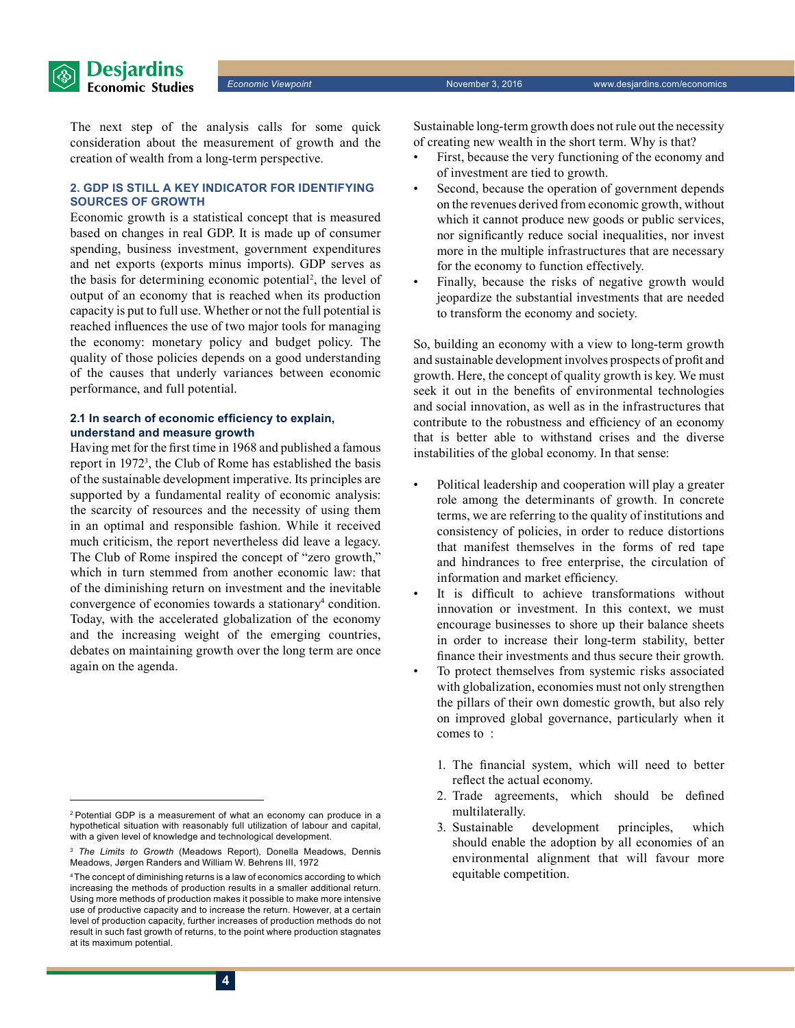

#### **2. GDP IS STILL A KEY INDICATOR FOR IDENTIFYING SOURCES OF GROWTH**

Economic growth is a statistical concept that is measured based on changes in real GDP. It is made up of consumer spending, business investment, government expenditures and net exports (exports minus imports). GDP serves as the basis for determining economic potential<sup>2</sup>, the level of output of an economy that is reached when its production capacity is put to full use. Whether or not the full potential is reached influences the use of two major tools for managing the economy: monetary policy and budget policy. The quality of those policies depends on a good understanding of the causes that underly variances between economic performance, and full potential.

#### **2.1 In search of economic efficiency to explain, understand and measure growth**

Having met for the first time in 1968 and published a famous report in 19723 , the Club of Rome has established the basis of the sustainable development imperative. Its principles are supported by a fundamental reality of economic analysis: the scarcity of resources and the necessity of using them in an optimal and responsible fashion. While it received much criticism, the report nevertheless did leave a legacy. The Club of Rome inspired the concept of "zero growth," which in turn stemmed from another economic law: that of the diminishing return on investment and the inevitable convergence of economies towards a stationary<sup>4</sup> condition. Today, with the accelerated globalization of the economy and the increasing weight of the emerging countries, debates on maintaining growth over the long term are once again on the agenda.

Sustainable long-term growth does not rule out the necessity of creating new wealth in the short term. Why is that?

- First, because the very functioning of the economy and of investment are tied to growth.
- Second, because the operation of government depends on the revenues derived from economic growth, without which it cannot produce new goods or public services, nor significantly reduce social inequalities, nor invest more in the multiple infrastructures that are necessary for the economy to function effectively.
- Finally, because the risks of negative growth would jeopardize the substantial investments that are needed to transform the economy and society.

So, building an economy with a view to long-term growth and sustainable development involves prospects of profit and growth. Here, the concept of quality growth is key. We must seek it out in the benefits of environmental technologies and social innovation, as well as in the infrastructures that contribute to the robustness and efficiency of an economy that is better able to withstand crises and the diverse instabilities of the global economy. In that sense:

- Political leadership and cooperation will play a greater role among the determinants of growth. In concrete terms, we are referring to the quality of institutions and consistency of policies, in order to reduce distortions that manifest themselves in the forms of red tape and hindrances to free enterprise, the circulation of information and market efficiency.
- It is difficult to achieve transformations without innovation or investment. In this context, we must encourage businesses to shore up their balance sheets in order to increase their long-term stability, better finance their investments and thus secure their growth.
- To protect themselves from systemic risks associated with globalization, economies must not only strengthen the pillars of their own domestic growth, but also rely on improved global governance, particularly when it comes to :
	- 1. The financial system, which will need to better reflect the actual economy.
	- 2. Trade agreements, which should be defined multilaterally.
	- 3. Sustainable development principles, which should enable the adoption by all economies of an environmental alignment that will favour more equitable competition.

<sup>2</sup> Potential GDP is a measurement of what an economy can produce in a hypothetical situation with reasonably full utilization of labour and capital, with a given level of knowledge and technological development.

<sup>3</sup> *The Limits to Growth* (Meadows Report), Donella Meadows, Dennis Meadows, Jørgen Randers and William W. Behrens III, 1972

<sup>&</sup>lt;sup>4</sup> The concept of diminishing returns is a law of economics according to which increasing the methods of production results in a smaller additional return. Using more methods of production makes it possible to make more intensive use of productive capacity and to increase the return. However, at a certain level of production capacity, further increases of production methods do not result in such fast growth of returns, to the point where production stagnates at its maximum potential.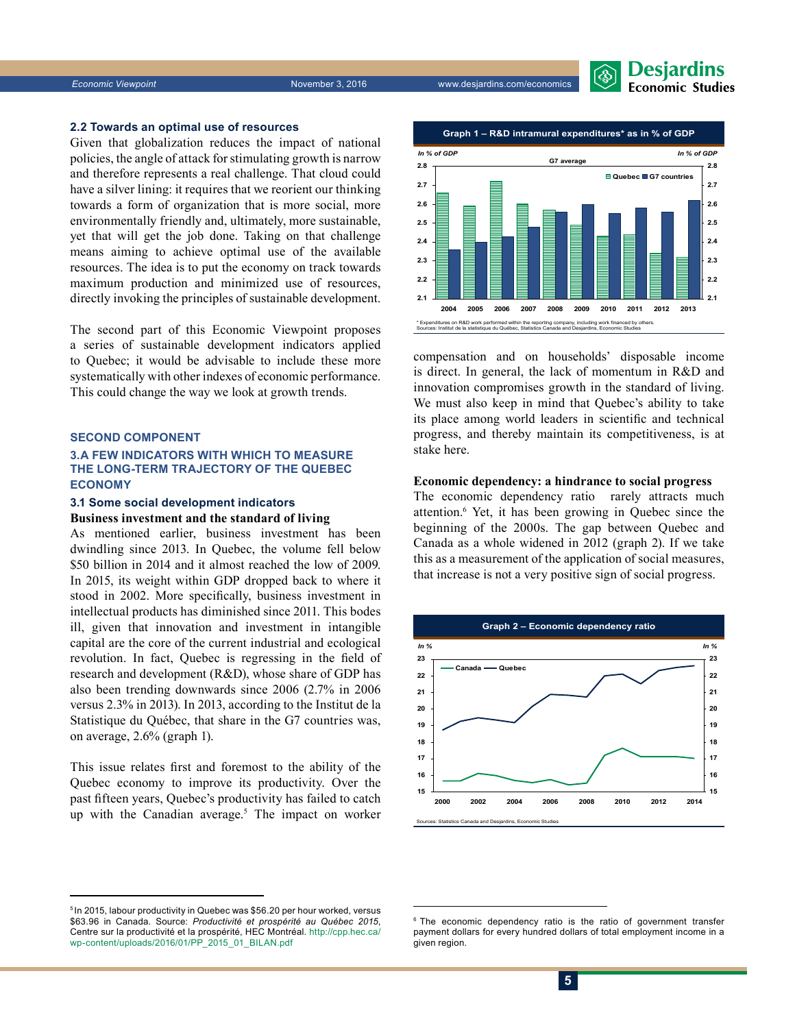

#### **2.2 Towards an optimal use of resources**

Given that globalization reduces the impact of national policies, the angle of attack for stimulating growth is narrow and therefore represents a real challenge. That cloud could have a silver lining: it requires that we reorient our thinking towards a form of organization that is more social, more environmentally friendly and, ultimately, more sustainable, yet that will get the job done. Taking on that challenge means aiming to achieve optimal use of the available resources. The idea is to put the economy on track towards maximum production and minimized use of resources, directly invoking the principles of sustainable development.

The second part of this Economic Viewpoint proposes a series of sustainable development indicators applied to Quebec; it would be advisable to include these more systematically with other indexes of economic performance. This could change the way we look at growth trends.

#### **SECOND COMPONENT**

#### **3.A FEW INDICATORS WITH WHICH TO MEASURE THE LONG-TERM TRAJECTORY OF THE QUEBEC ECONOMY**

#### **3.1 Some social development indicators Business investment and the standard of living**

As mentioned earlier, business investment has been dwindling since 2013. In Quebec, the volume fell below \$50 billion in 2014 and it almost reached the low of 2009. In 2015, its weight within GDP dropped back to where it stood in 2002. More specifically, business investment in intellectual products has diminished since 2011. This bodes ill, given that innovation and investment in intangible capital are the core of the current industrial and ecological revolution. In fact, Quebec is regressing in the field of research and development (R&D), whose share of GDP has also been trending downwards since 2006 (2.7% in 2006 versus 2.3% in 2013). In 2013, according to the Institut de la Statistique du Québec, that share in the G7 countries was, on average, 2.6% (graph 1).

This issue relates first and foremost to the ability of the Quebec economy to improve its productivity. Over the past fifteen years, Quebec's productivity has failed to catch up with the Canadian average.<sup>5</sup> The impact on worker





compensation and on households' disposable income is direct. In general, the lack of momentum in R&D and innovation compromises growth in the standard of living. We must also keep in mind that Quebec's ability to take its place among world leaders in scientific and technical progress, and thereby maintain its competitiveness, is at stake here.

#### **Economic dependency: a hindrance to social progress**

The economic dependency ratio rarely attracts much attention.6 Yet, it has been growing in Quebec since the beginning of the 2000s. The gap between Quebec and Canada as a whole widened in 2012 (graph 2). If we take this as a measurement of the application of social measures, that increase is not a very positive sign of social progress.



<sup>5</sup> In 2015, labour productivity in Quebec was \$56.20 per hour worked, versus \$63.96 in Canada. Source: *Productivité et prospérité au Québec 2015*, Centre sur la productivité et la prospérité, HEC Montréal. [http://cpp.hec.ca/](http://cpp.hec.ca/wp-content/uploads/2016/01/PP_2015_01_BILAN.pdf) [wp-content/uploads/2016/01/PP\\_2015\\_01\\_BILAN.pdf](http://cpp.hec.ca/wp-content/uploads/2016/01/PP_2015_01_BILAN.pdf) 

<sup>&</sup>lt;sup>6</sup> The economic dependency ratio is the ratio of government transfer payment dollars for every hundred dollars of total employment income in a given region.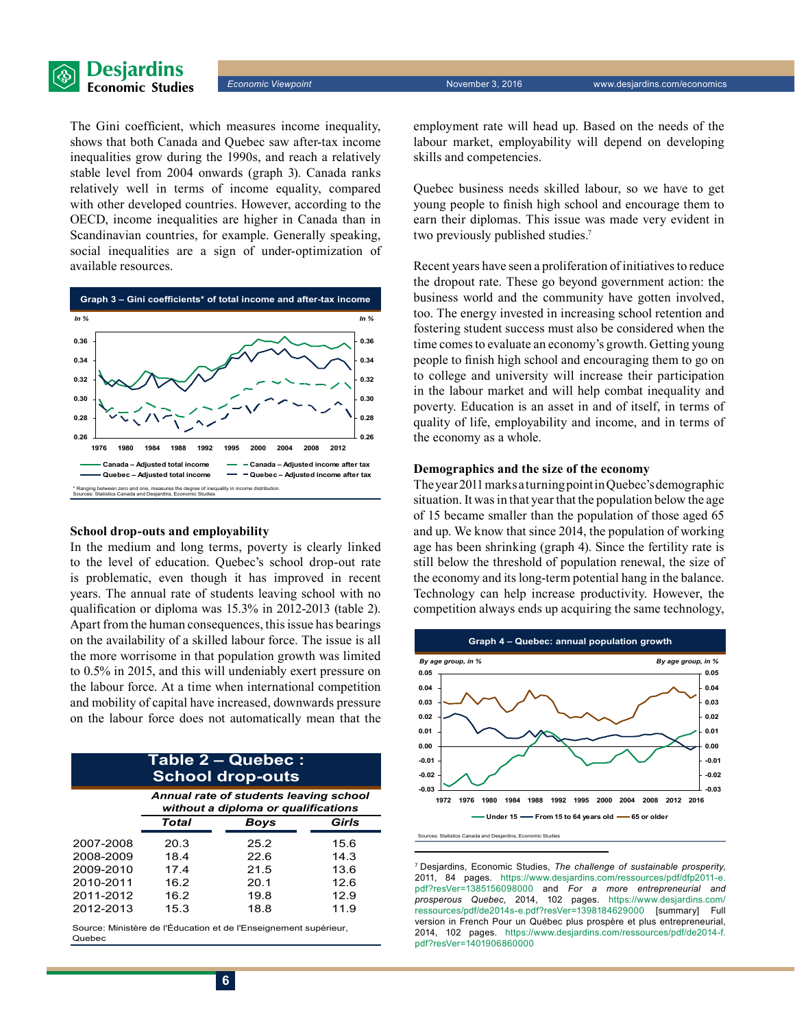

The Gini coefficient, which measures income inequality, shows that both Canada and Quebec saw after-tax income inequalities grow during the 1990s, and reach a relatively stable level from 2004 onwards (graph 3). Canada ranks relatively well in terms of income equality, compared with other developed countries. However, according to the OECD, income inequalities are higher in Canada than in Scandinavian countries, for example. Generally speaking, social inequalities are a sign of under-optimization of available resources.



#### **School drop-outs and employability**

In the medium and long terms, poverty is clearly linked to the level of education. Quebec's school drop-out rate is problematic, even though it has improved in recent years. The annual rate of students leaving school with no qualification or diploma was 15.3% in 2012-2013 (table 2). Apart from the human consequences, this issue has bearings on the availability of a skilled labour force. The issue is all the more worrisome in that population growth was limited to 0.5% in 2015, and this will undeniably exert pressure on the labour force. At a time when international competition and mobility of capital have increased, downwards pressure on the labour force does not automatically mean that the

#### **Table 2 – Quebec : School drop-outs**

|           | Annual rate of students leaving school<br>without a diploma or qualifications |             |       |  |  |  |  |
|-----------|-------------------------------------------------------------------------------|-------------|-------|--|--|--|--|
|           | <b>Total</b>                                                                  | <b>Boys</b> | Girls |  |  |  |  |
| 2007-2008 | 20.3                                                                          | 25.2        | 15.6  |  |  |  |  |
| 2008-2009 | 18.4                                                                          | 22.6        | 14.3  |  |  |  |  |
| 2009-2010 | 17.4                                                                          | 21.5        | 13.6  |  |  |  |  |
| 2010-2011 | 16.2                                                                          | 20.1        | 12.6  |  |  |  |  |
| 2011-2012 | 16.2                                                                          | 19.8        | 12.9  |  |  |  |  |
| 2012-2013 | 15.3                                                                          | 18.8        | 11.9  |  |  |  |  |
|           |                                                                               |             |       |  |  |  |  |

Source: Ministère de l'Éducation et de l'Enseignement supérieur, Quebec

employment rate will head up. Based on the needs of the labour market, employability will depend on developing skills and competencies.

Quebec business needs skilled labour, so we have to get young people to finish high school and encourage them to earn their diplomas. This issue was made very evident in two previously published studies.<sup>7</sup>

Recent years have seen a proliferation of initiatives to reduce the dropout rate. These go beyond government action: the business world and the community have gotten involved, too. The energy invested in increasing school retention and fostering student success must also be considered when the time comes to evaluate an economy's growth. Getting young people to finish high school and encouraging them to go on to college and university will increase their participation in the labour market and will help combat inequality and poverty. Education is an asset in and of itself, in terms of quality of life, employability and income, and in terms of the economy as a whole.

#### **Demographics and the size of the economy**

The year 2011 marks a turning point in Quebec's demographic situation. It was in that year that the population below the age of 15 became smaller than the population of those aged 65 and up. We know that since 2014, the population of working age has been shrinking (graph 4). Since the fertility rate is still below the threshold of population renewal, the size of the economy and its long-term potential hang in the balance. Technology can help increase productivity. However, the competition always ends up acquiring the same technology,



7 Desjardins, Economic Studies, *The challenge of sustainable prosperity*, 2011, 84 pages. [https://www.desjardins.com/ressources/pdf/dfp2011-e.](https://www.desjardins.com/ressources/pdf/dfp2011-e.pdf?resVer=1385156098000) [pdf?resVer=1385156098000](https://www.desjardins.com/ressources/pdf/dfp2011-e.pdf?resVer=1385156098000) and *For a more entrepreneurial and prosperous Quebec*, 2014, 102 pages. [https://www.desjardins.com/](https://www.desjardins.com/ressources/pdf/de2014s-e.pdf?resVer=1398184629000) [ressources/pdf/de2014s-e.pdf?resVer=1398184629000](https://www.desjardins.com/ressources/pdf/de2014s-e.pdf?resVer=1398184629000) [summary] Full version in French Pour un Québec plus prospère et plus entrepreneurial, 2014, 102 pages. [https://www.desjardins.com/ressources/pdf/de2014-f.](https://www.desjardins.com/ressources/pdf/de2014-f.pdf?resVer=1401906860000) [pdf?resVer=1401906860000](https://www.desjardins.com/ressources/pdf/de2014-f.pdf?resVer=1401906860000)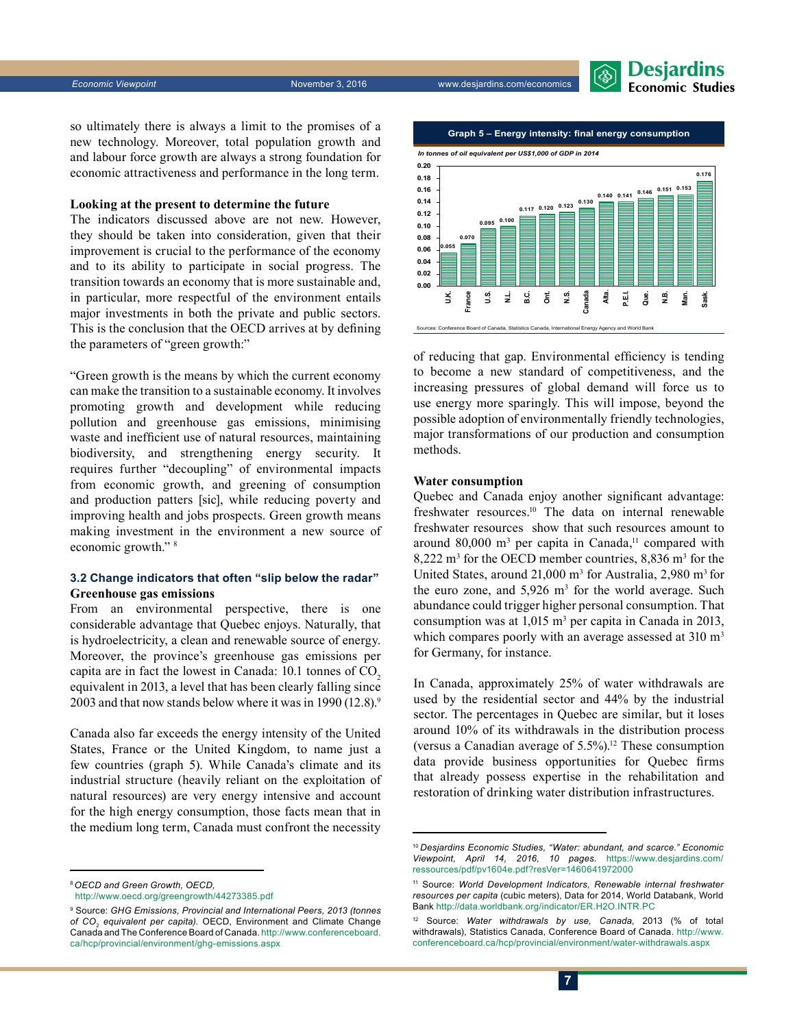

so ultimately there is always a limit to the promises of a new technology. Moreover, total population growth and and labour force growth are always a strong foundation for economic attractiveness and performance in the long term.

#### **Looking at the present to determine the future**

The indicators discussed above are not new. However, they should be taken into consideration, given that their improvement is crucial to the performance of the economy and to its ability to participate in social progress. The transition towards an economy that is more sustainable and, in particular, more respectful of the environment entails major investments in both the private and public sectors. This is the conclusion that the OECD arrives at by defining the parameters of "green growth:"

"Green growth is the means by which the current economy can make the transition to a sustainable economy. It involves promoting growth and development while reducing pollution and greenhouse gas emissions, minimising waste and inefficient use of natural resources, maintaining biodiversity, and strengthening energy security. It requires further "decoupling" of environmental impacts from economic growth, and greening of consumption and production patters [sic], while reducing poverty and improving health and jobs prospects. Green growth means making investment in the environment a new source of economic growth." 8

#### **3.2 Change indicators that often "slip below the radar" Greenhouse gas emissions**

From an environmental perspective, there is one considerable advantage that Quebec enjoys. Naturally, that is hydroelectricity, a clean and renewable source of energy. Moreover, the province's greenhouse gas emissions per capita are in fact the lowest in Canada:  $10.1$  tonnes of  $CO<sub>2</sub>$ equivalent in 2013, a level that has been clearly falling since 2003 and that now stands below where it was in 1990  $(12.8)$ .<sup>9</sup>

Canada also far exceeds the energy intensity of the United States, France or the United Kingdom, to name just a few countries (graph 5). While Canada's climate and its industrial structure (heavily reliant on the exploitation of natural resources) are very energy intensive and account for the high energy consumption, those facts mean that in the medium long term, Canada must confront the necessity

<sup>8</sup>*OECD and Green Growth, OECD,* 



of reducing that gap. Environmental efficiency is tending to become a new standard of competitiveness, and the increasing pressures of global demand will force us to use energy more sparingly. This will impose, beyond the possible adoption of environmentally friendly technologies, major transformations of our production and consumption methods.

#### **Water consumption**

Quebec and Canada enjoy another significant advantage: freshwater resources.10 The data on internal renewable freshwater resources show that such resources amount to around  $80,000$  m<sup>3</sup> per capita in Canada,<sup>11</sup> compared with  $8,222 \text{ m}^3$  for the OECD member countries,  $8,836 \text{ m}^3$  for the United States, around  $21,000 \text{ m}^3$  for Australia, 2,980 m<sup>3</sup> for the euro zone, and  $5,926$  m<sup>3</sup> for the world average. Such abundance could trigger higher personal consumption. That consumption was at  $1,015 \text{ m}^3$  per capita in Canada in 2013, which compares poorly with an average assessed at 310 m<sup>3</sup> for Germany, for instance.

In Canada, approximately 25% of water withdrawals are used by the residential sector and 44% by the industrial sector. The percentages in Quebec are similar, but it loses around 10% of its withdrawals in the distribution process (versus a Canadian average of  $5.5\%$ ).<sup>12</sup> These consumption data provide business opportunities for Quebec firms that already possess expertise in the rehabilitation and restoration of drinking water distribution infrastructures.

<http://www.oecd.org/greengrowth/44273385.pdf>

<sup>9</sup> Source: *GHG Emissions, Provincial and International Peers, 2013 (tonnes*  of CO<sub>2</sub> equivalent per capita). OECD, Environment and Climate Change Canada and The Conference Board of Canada. [http://www.conferenceboard.](http://www.conferenceboard.ca/hcp/provincial/environment/ghg-emissions.aspx) [ca/hcp/provincial/environment/ghg-emissions.aspx](http://www.conferenceboard.ca/hcp/provincial/environment/ghg-emissions.aspx)

<sup>10</sup>*Desjardins Economic Studies, "Water: abundant, and scarce." Economic Viewpoint, April 14, 2016, 10 pages.* [https://www.desjardins.com/](https://www.desjardins.com/ressources/pdf/pv1604e.pdf?resVer=1460641972000
) [ressources/pdf/pv1604e.pdf?resVer=1460641972000](https://www.desjardins.com/ressources/pdf/pv1604e.pdf?resVer=1460641972000
)

<sup>11</sup> Source: *World Development Indicators, Renewable internal freshwater resources per capita* (cubic meters), Data for 2014, World Databank, World Bank<http://data.worldbank.org/indicator/ER.H2O.INTR.PC>

<sup>12</sup> Source: *Water withdrawals by use, Canada*, 2013 (% of total withdrawals), Statistics Canada, Conference Board of Canada. [http://www.](http://www.conferenceboard.ca/hcp/provincial/environment/water-withdrawals.aspx) [conferenceboard.ca/hcp/provincial/environment/water-withdrawals.aspx](http://www.conferenceboard.ca/hcp/provincial/environment/water-withdrawals.aspx)